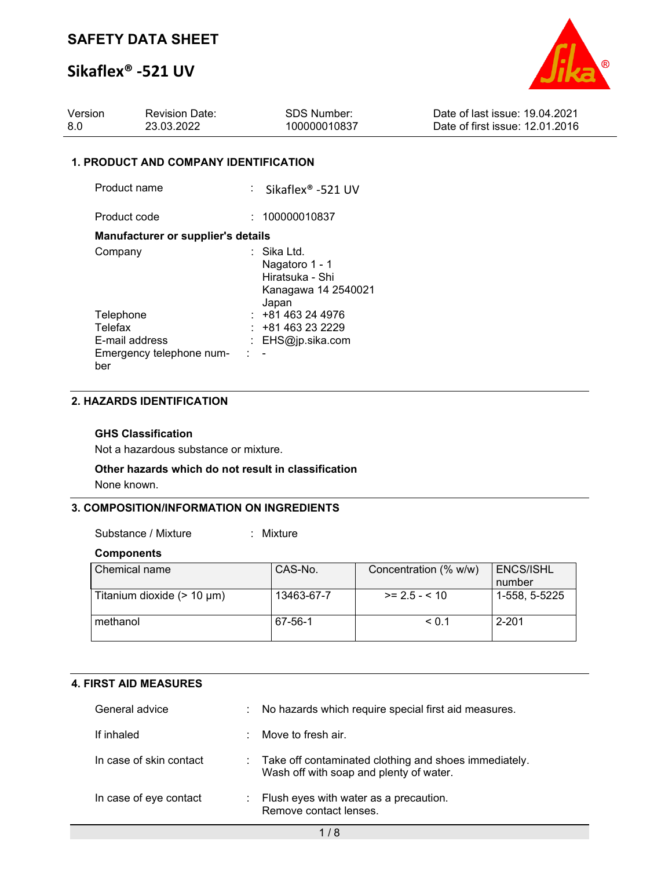# **Sikaflex® -521 UV**



| Version | <b>Revision Date:</b> | <b>SDS Number:</b> | Date of last issue: 19.04.2021  |
|---------|-----------------------|--------------------|---------------------------------|
| -8.0    | 23.03.2022            | 100000010837       | Date of first issue: 12.01.2016 |

### **1. PRODUCT AND COMPANY IDENTIFICATION**

| Product name                                                              | $:$ Sikaflex® -521 UV                                                              |
|---------------------------------------------------------------------------|------------------------------------------------------------------------------------|
| Product code                                                              | 100000010837                                                                       |
| <b>Manufacturer or supplier's details</b>                                 |                                                                                    |
| Company                                                                   | ∶   Sika Ltd.<br>Nagatoro 1 - 1<br>Hiratsuka - Shi<br>Kanagawa 14 2540021<br>Japan |
| Telephone<br>Telefax<br>E-mail address<br>Emergency telephone num-<br>ber | $: +81463244976$<br>: +81 463 23 2229<br>: EHS@jp.sika.com                         |

### **2. HAZARDS IDENTIFICATION**

### **GHS Classification**

Not a hazardous substance or mixture.

### **Other hazards which do not result in classification**

None known.

### **3. COMPOSITION/INFORMATION ON INGREDIENTS**

Substance / Mixture : Mixture :

#### **Components**

| Chemical name                   | CAS-No.    | Concentration (% w/w) | <b>ENCS/ISHL</b><br>number |
|---------------------------------|------------|-----------------------|----------------------------|
| Titanium dioxide $(> 10 \mu m)$ | 13463-67-7 | $>= 2.5 - 10$         | 1-558. 5-5225              |
| methanol                        | 67-56-1    | < 0.1                 | $2 - 201$                  |

### **4. FIRST AID MEASURES**

| General advice          |    | : No hazards which require special first aid measures.                                             |
|-------------------------|----|----------------------------------------------------------------------------------------------------|
| If inhaled              | t. | Move to fresh air.                                                                                 |
| In case of skin contact |    | : Take off contaminated clothing and shoes immediately.<br>Wash off with soap and plenty of water. |
| In case of eye contact  | t. | Flush eyes with water as a precaution.<br>Remove contact lenses.                                   |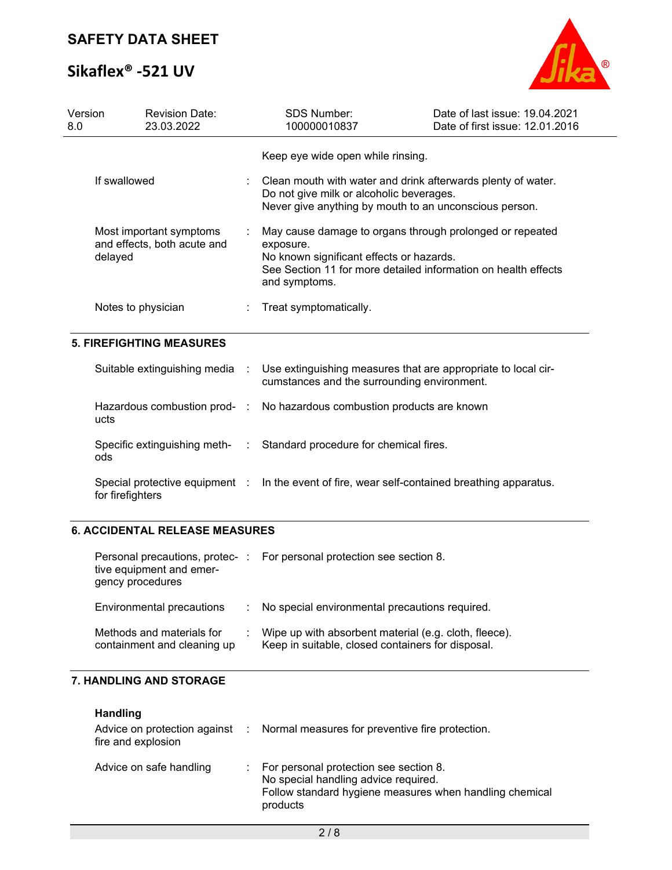# **Sikaflex® -521 UV**



| Version<br>8.0 | <b>Revision Date:</b><br>23.03.2022                               |           | <b>SDS Number:</b><br>100000010837                                                                                                                                                                   | Date of last issue: 19.04.2021<br>Date of first issue: 12.01.2016 |  |
|----------------|-------------------------------------------------------------------|-----------|------------------------------------------------------------------------------------------------------------------------------------------------------------------------------------------------------|-------------------------------------------------------------------|--|
|                |                                                                   |           | Keep eye wide open while rinsing.                                                                                                                                                                    |                                                                   |  |
|                | If swallowed                                                      |           | Clean mouth with water and drink afterwards plenty of water.<br>Do not give milk or alcoholic beverages.<br>Never give anything by mouth to an unconscious person.                                   |                                                                   |  |
|                | Most important symptoms<br>and effects, both acute and<br>delayed |           | May cause damage to organs through prolonged or repeated<br>exposure.<br>No known significant effects or hazards.<br>See Section 11 for more detailed information on health effects<br>and symptoms. |                                                                   |  |
|                | Notes to physician                                                |           | Treat symptomatically.                                                                                                                                                                               |                                                                   |  |
|                | <b>5. FIREFIGHTING MEASURES</b>                                   |           |                                                                                                                                                                                                      |                                                                   |  |
|                | Suitable extinguishing media                                      | $\cdot$ : | Use extinguishing measures that are appropriate to local cir-<br>cumstances and the surrounding environment.                                                                                         |                                                                   |  |
|                | Hazardous combustion prod- :<br>ucts                              |           | No hazardous combustion products are known                                                                                                                                                           |                                                                   |  |
| ods            | Specific extinguishing meth-                                      | ÷.        | Standard procedure for chemical fires.                                                                                                                                                               |                                                                   |  |
|                | Special protective equipment :<br>for firefighters                |           | In the event of fire, wear self-contained breathing apparatus.                                                                                                                                       |                                                                   |  |
|                |                                                                   |           |                                                                                                                                                                                                      |                                                                   |  |

## **6. ACCIDENTAL RELEASE MEASURES**

| Personal precautions, protec-:<br>tive equipment and emer-<br>gency procedures | For personal protection see section 8.                                                                     |
|--------------------------------------------------------------------------------|------------------------------------------------------------------------------------------------------------|
| Environmental precautions                                                      | No special environmental precautions required.                                                             |
| Methods and materials for<br>containment and cleaning up                       | Wipe up with absorbent material (e.g. cloth, fleece).<br>Keep in suitable, closed containers for disposal. |

## **7. HANDLING AND STORAGE**

**Handling**

| fire and explosion      |    | Advice on protection against : Normal measures for preventive fire protection.                                                                        |
|-------------------------|----|-------------------------------------------------------------------------------------------------------------------------------------------------------|
| Advice on safe handling | ÷. | For personal protection see section 8.<br>No special handling advice required.<br>Follow standard hygiene measures when handling chemical<br>products |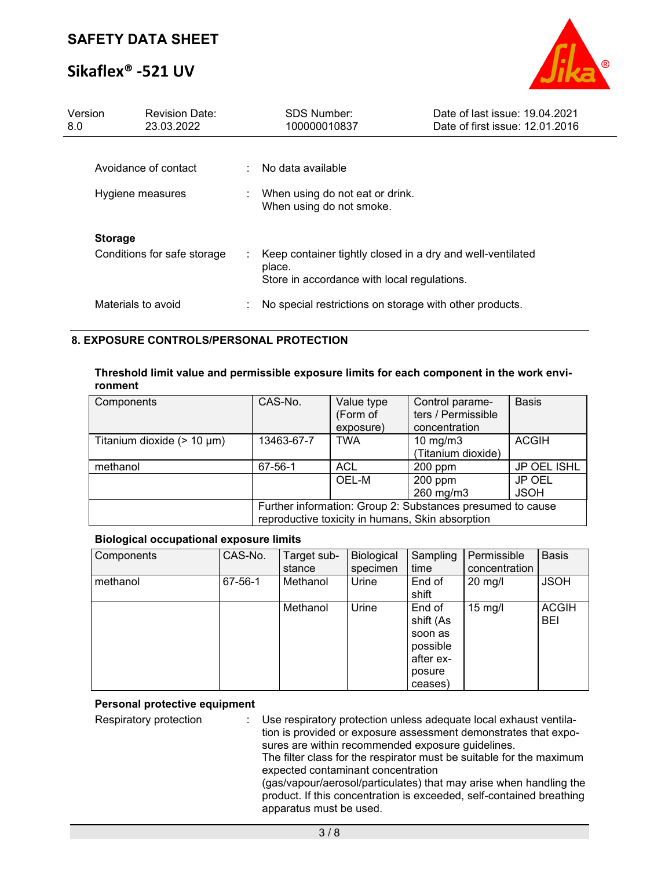# **Sikaflex® -521 UV**



| Version<br>8.0 |                    | <b>Revision Date:</b><br>23.03.2022 |   | <b>SDS Number:</b><br>100000010837                                   | Date of last issue: 19.04.2021<br>Date of first issue: 12.01.2016 |
|----------------|--------------------|-------------------------------------|---|----------------------------------------------------------------------|-------------------------------------------------------------------|
|                |                    |                                     |   |                                                                      |                                                                   |
|                |                    | Avoidance of contact                |   | $\therefore$ No data available                                       |                                                                   |
|                | Hygiene measures   |                                     |   | When using do not eat or drink.<br>When using do not smoke.          |                                                                   |
|                | <b>Storage</b>     |                                     |   |                                                                      |                                                                   |
|                |                    | Conditions for safe storage         |   | Keep container tightly closed in a dry and well-ventilated<br>place. |                                                                   |
|                |                    |                                     |   | Store in accordance with local regulations.                          |                                                                   |
|                | Materials to avoid |                                     | ÷ | No special restrictions on storage with other products.              |                                                                   |

### **8. EXPOSURE CONTROLS/PERSONAL PROTECTION**

**Threshold limit value and permissible exposure limits for each component in the work environment**

| Components                      | CAS-No.                                                                                                        | Value type<br>(Form of<br>exposure) | Control parame-<br>ters / Permissible<br>concentration | <b>Basis</b>          |
|---------------------------------|----------------------------------------------------------------------------------------------------------------|-------------------------------------|--------------------------------------------------------|-----------------------|
| Titanium dioxide $(> 10 \mu m)$ | 13463-67-7                                                                                                     | <b>TWA</b>                          | $10 \text{ mg/m}$<br>(Titanium dioxide)                | <b>ACGIH</b>          |
| methanol                        | 67-56-1                                                                                                        | ACL                                 | 200 ppm                                                | JP OEL ISHL           |
|                                 |                                                                                                                | OEL-M                               | $200$ ppm<br>260 mg/m3                                 | JP OEL<br><b>JSOH</b> |
|                                 | Further information: Group 2: Substances presumed to cause<br>reproductive toxicity in humans, Skin absorption |                                     |                                                        |                       |

### **Biological occupational exposure limits**

| Components | CAS-No. | Target sub-<br>stance | Biological<br>specimen | Sampling<br>time                                                             | Permissible<br>concentration | <b>Basis</b>        |
|------------|---------|-----------------------|------------------------|------------------------------------------------------------------------------|------------------------------|---------------------|
| methanol   | 67-56-1 | Methanol              | Urine                  | End of<br>shift                                                              | $20$ mg/l                    | <b>JSOH</b>         |
|            |         | Methanol              | Urine                  | End of<br>shift (As<br>soon as<br>possible<br>after ex-<br>posure<br>ceases) | $15 \text{ mg/l}$            | <b>ACGIH</b><br>BEI |

### **Personal protective equipment**

Respiratory protection : Use respiratory protection unless adequate local exhaust ventilation is provided or exposure assessment demonstrates that exposures are within recommended exposure guidelines.

The filter class for the respirator must be suitable for the maximum expected contaminant concentration

(gas/vapour/aerosol/particulates) that may arise when handling the product. If this concentration is exceeded, self-contained breathing apparatus must be used.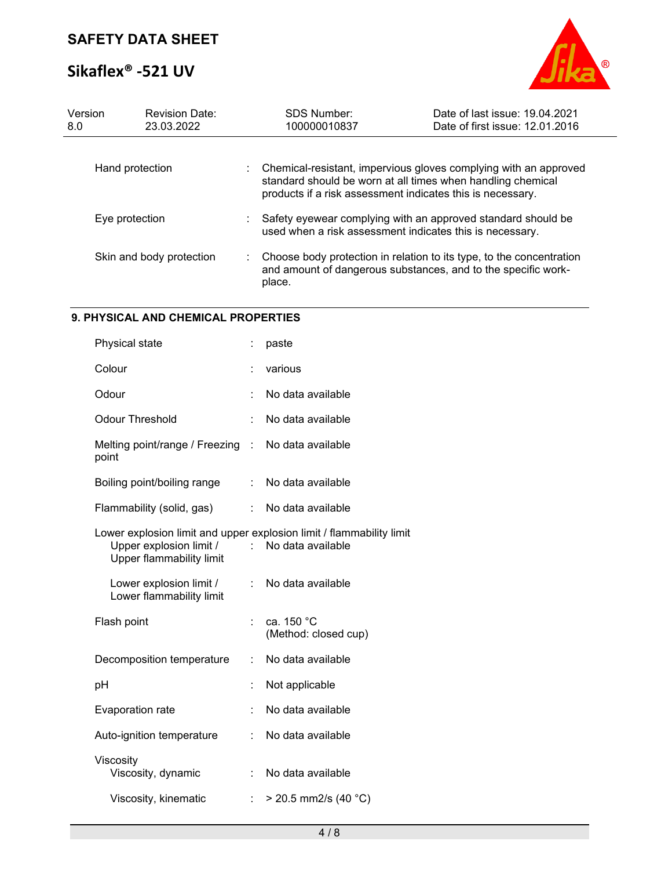# **Sikaflex® -521 UV**



| Version<br>8.0 |                 | <b>Revision Date:</b><br>23.03.2022 | SDS Number:<br>100000010837                                                                                               | Date of last issue: 19.04.2021<br>Date of first issue: 12.01.2016                                                                     |
|----------------|-----------------|-------------------------------------|---------------------------------------------------------------------------------------------------------------------------|---------------------------------------------------------------------------------------------------------------------------------------|
|                | Hand protection |                                     | standard should be worn at all times when handling chemical<br>products if a risk assessment indicates this is necessary. | Chemical-resistant, impervious gloves complying with an approved                                                                      |
|                | Eye protection  |                                     | used when a risk assessment indicates this is necessary.                                                                  | Safety eyewear complying with an approved standard should be                                                                          |
|                |                 | Skin and body protection            | place.                                                                                                                    | Choose body protection in relation to its type, to the concentration<br>and amount of dangerous substances, and to the specific work- |

## **9. PHYSICAL AND CHEMICAL PROPERTIES**

| Physical state                                                                                                                     | ÷  | paste                              |
|------------------------------------------------------------------------------------------------------------------------------------|----|------------------------------------|
| Colour                                                                                                                             |    | various                            |
| Odour                                                                                                                              |    | No data available                  |
| <b>Odour Threshold</b>                                                                                                             |    | No data available                  |
| Melting point/range / Freezing<br>point                                                                                            | ÷  | No data available                  |
| Boiling point/boiling range                                                                                                        | ÷. | No data available                  |
| Flammability (solid, gas)                                                                                                          | t. | No data available                  |
| Lower explosion limit and upper explosion limit / flammability limit<br>Upper explosion limit /<br><b>Upper flammability limit</b> |    | No data available                  |
| Lower explosion limit /<br>Lower flammability limit                                                                                | ÷  | No data available                  |
| Flash point                                                                                                                        |    | ca. 150 °C<br>(Method: closed cup) |
| Decomposition temperature                                                                                                          | t  | No data available                  |
| рH                                                                                                                                 |    | Not applicable                     |
| <b>Evaporation rate</b>                                                                                                            |    | No data available                  |
| Auto-ignition temperature                                                                                                          |    | No data available                  |
| Viscosity<br>Viscosity, dynamic                                                                                                    |    | No data available                  |
| Viscosity, kinematic                                                                                                               |    | $>$ 20.5 mm2/s (40 °C)             |
|                                                                                                                                    |    |                                    |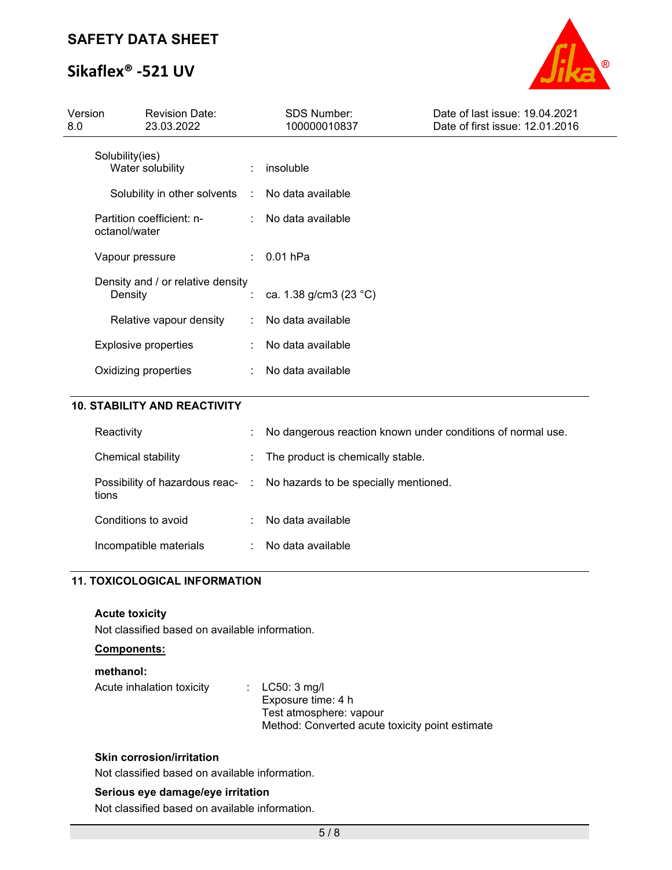# **Sikaflex® -521 UV**



| Version<br>8.0 | <b>Revision Date:</b><br>23.03.2022          | SDS Number:<br>100000010837 | Date of last issue: 19.04.2021<br>Date of first issue: 12.01.2016 |
|----------------|----------------------------------------------|-----------------------------|-------------------------------------------------------------------|
|                | Solubility(ies)<br>Water solubility          | insoluble                   |                                                                   |
|                | Solubility in other solvents :               | No data available           |                                                                   |
|                | Partition coefficient: n-<br>octanol/water   | : No data available         |                                                                   |
|                | Vapour pressure                              | $: 0.01$ hPa                |                                                                   |
|                | Density and / or relative density<br>Density | : ca. 1.38 g/cm3 (23 °C)    |                                                                   |
|                | Relative vapour density                      | No data available           |                                                                   |
|                | <b>Explosive properties</b>                  | : No data available         |                                                                   |
|                | Oxidizing properties                         | No data available           |                                                                   |

## **10. STABILITY AND REACTIVITY**

| Reactivity             | No dangerous reaction known under conditions of normal use.            |
|------------------------|------------------------------------------------------------------------|
| Chemical stability     | : The product is chemically stable.                                    |
| tions                  | Possibility of hazardous reac- : No hazards to be specially mentioned. |
| Conditions to avoid    | No data available                                                      |
| Incompatible materials | No data available                                                      |

## **11. TOXICOLOGICAL INFORMATION**

### **Acute toxicity**

Not classified based on available information.

## **Components:**

### **methanol:**

| Acute inhalation toxicity | : $LC50:3$ mg/l                                 |
|---------------------------|-------------------------------------------------|
|                           | Exposure time: 4 h                              |
|                           | Test atmosphere: vapour                         |
|                           | Method: Converted acute toxicity point estimate |
|                           |                                                 |

### **Skin corrosion/irritation**

Not classified based on available information.

## **Serious eye damage/eye irritation**

Not classified based on available information.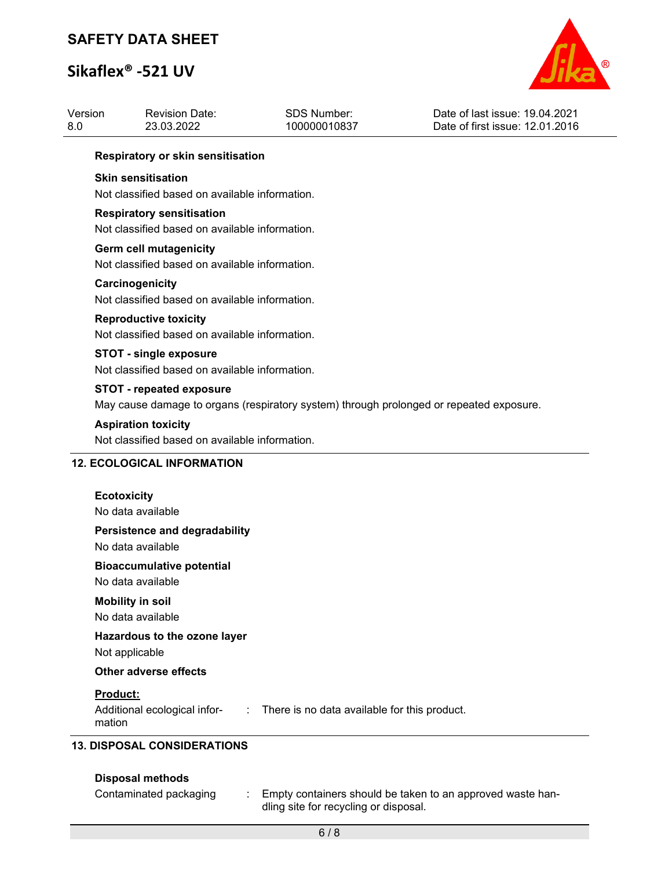# **Sikaflex® -521 UV**



| 8.0                                                                                     | <b>Revision Date:</b><br>23.03.2022                                             | <b>SDS Number:</b><br>100000010837 | Date of last issue: 19.04.2021<br>Date of first issue: 12.01.2016 |  |
|-----------------------------------------------------------------------------------------|---------------------------------------------------------------------------------|------------------------------------|-------------------------------------------------------------------|--|
|                                                                                         | Respiratory or skin sensitisation                                               |                                    |                                                                   |  |
|                                                                                         | <b>Skin sensitisation</b>                                                       |                                    |                                                                   |  |
| Not classified based on available information.                                          |                                                                                 |                                    |                                                                   |  |
|                                                                                         | <b>Respiratory sensitisation</b>                                                |                                    |                                                                   |  |
|                                                                                         | Not classified based on available information.                                  |                                    |                                                                   |  |
|                                                                                         | <b>Germ cell mutagenicity</b><br>Not classified based on available information. |                                    |                                                                   |  |
|                                                                                         | Carcinogenicity                                                                 |                                    |                                                                   |  |
| Not classified based on available information.                                          |                                                                                 |                                    |                                                                   |  |
|                                                                                         | <b>Reproductive toxicity</b>                                                    |                                    |                                                                   |  |
|                                                                                         | Not classified based on available information.                                  |                                    |                                                                   |  |
|                                                                                         | <b>STOT - single exposure</b>                                                   |                                    |                                                                   |  |
|                                                                                         | Not classified based on available information.                                  |                                    |                                                                   |  |
|                                                                                         | <b>STOT - repeated exposure</b>                                                 |                                    |                                                                   |  |
| May cause damage to organs (respiratory system) through prolonged or repeated exposure. |                                                                                 |                                    |                                                                   |  |
| <b>Aspiration toxicity</b><br>Not classified based on available information.            |                                                                                 |                                    |                                                                   |  |
|                                                                                         |                                                                                 |                                    |                                                                   |  |
|                                                                                         | <b>12. ECOLOGICAL INFORMATION</b>                                               |                                    |                                                                   |  |
|                                                                                         |                                                                                 |                                    |                                                                   |  |
|                                                                                         |                                                                                 |                                    |                                                                   |  |
|                                                                                         | <b>Ecotoxicity</b><br>No data available                                         |                                    |                                                                   |  |
|                                                                                         | <b>Persistence and degradability</b>                                            |                                    |                                                                   |  |
|                                                                                         | No data available                                                               |                                    |                                                                   |  |
|                                                                                         | <b>Bioaccumulative potential</b>                                                |                                    |                                                                   |  |
|                                                                                         | No data available                                                               |                                    |                                                                   |  |
|                                                                                         | <b>Mobility in soil</b>                                                         |                                    |                                                                   |  |
|                                                                                         | No data available                                                               |                                    |                                                                   |  |
|                                                                                         | Hazardous to the ozone layer<br>Not applicable                                  |                                    |                                                                   |  |
|                                                                                         | <b>Other adverse effects</b>                                                    |                                    |                                                                   |  |

## **Disposal methods**

Contaminated packaging : Empty containers should be taken to an approved waste handling site for recycling or disposal.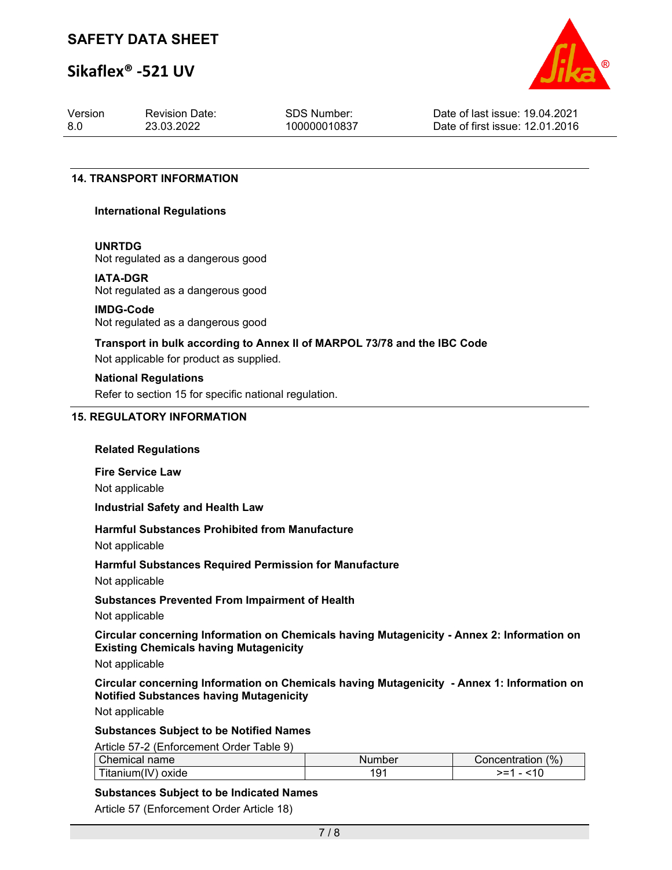# **Sikaflex® -521 UV**



| Version | <b>Revision Date:</b> | SDS Number:  | Date of last issue: 19.04.2021  |
|---------|-----------------------|--------------|---------------------------------|
| -8.0    | 23.03.2022            | 100000010837 | Date of first issue: 12.01.2016 |

#### **14. TRANSPORT INFORMATION**

#### **International Regulations**

#### **UNRTDG**

Not regulated as a dangerous good

#### **IATA-DGR**

Not regulated as a dangerous good

## **IMDG-Code**

Not regulated as a dangerous good

## **Transport in bulk according to Annex II of MARPOL 73/78 and the IBC Code**

Not applicable for product as supplied.

#### **National Regulations**

Refer to section 15 for specific national regulation.

### **15. REGULATORY INFORMATION**

#### **Related Regulations**

**Fire Service Law** Not applicable

#### **Industrial Safety and Health Law**

### **Harmful Substances Prohibited from Manufacture**

Not applicable

### **Harmful Substances Required Permission for Manufacture**

Not applicable

### **Substances Prevented From Impairment of Health**

Not applicable

**Circular concerning Information on Chemicals having Mutagenicity - Annex 2: Information on Existing Chemicals having Mutagenicity**

Not applicable

### **Circular concerning Information on Chemicals having Mutagenicity - Annex 1: Information on Notified Substances having Mutagenicity**

Not applicable

### **Substances Subject to be Notified Names**

Article 57-2 (Enforcement Order Table 9)

| Chemical name                        | Number | $(%^{6})^{6}$<br>ا Concentration |
|--------------------------------------|--------|----------------------------------|
| $\cdots$<br>⊺itanıum(l<br>oxide<br>v | -19 -  | - -<br>. <b>.</b>                |

#### **Substances Subject to be Indicated Names**

Article 57 (Enforcement Order Article 18)